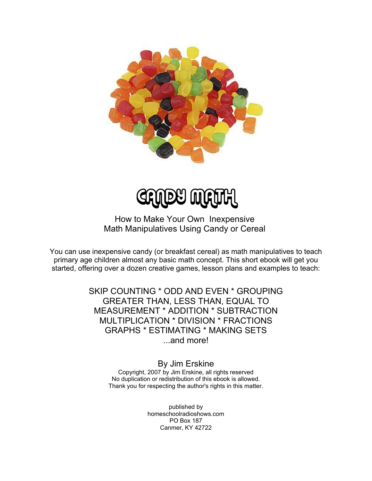

LEY WILDLY

How to Make Your Own Inexpensive Math Manipulatives Using Candy or Cereal

You can use inexpensive candy (or breakfast cereal) as math manipulatives to teach primary age children almost any basic math concept. This short ebook will get you started, offering over a dozen creative games, lesson plans and examples to teach:

> SKIP COUNTING \* ODD AND EVEN \* GROUPING GREATER THAN, LESS THAN, EQUAL TO MEASUREMENT \* ADDITION \* SUBTRACTION MULTIPLICATION \* DIVISION \* FRACTIONS GRAPHS \* ESTIMATING \* MAKING SETS ...and more!

> > By Jim Erskine Copyright, 2007 by Jim Erskine, all rights reserved No duplication or redistribution of this ebook is allowed. Thank you for respecting the author's rights in this matter.

> > > published by homeschoolradioshows.com PO Box 187 Canmer, KY 42722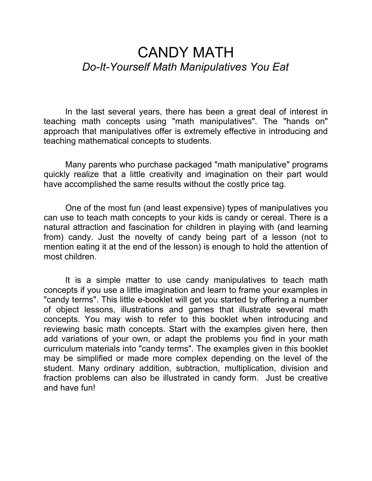# CANDY MATH *Do-It-Yourself Math Manipulatives You Eat*

In the last several years, there has been a great deal of interest in teaching math concepts using "math manipulatives". The "hands on" approach that manipulatives offer is extremely effective in introducing and teaching mathematical concepts to students.

Many parents who purchase packaged "math manipulative" programs quickly realize that a little creativity and imagination on their part would have accomplished the same results without the costly price tag.

One of the most fun (and least expensive) types of manipulatives you can use to teach math concepts to your kids is candy or cereal. There is a natural attraction and fascination for children in playing with (and learning from) candy. Just the novelty of candy being part of a lesson (not to mention eating it at the end of the lesson) is enough to hold the attention of most children.

It is a simple matter to use candy manipulatives to teach math concepts if you use a little imagination and learn to frame your examples in "candy terms". This little e-booklet will get you started by offering a number of object lessons, illustrations and games that illustrate several math concepts. You may wish to refer to this booklet when introducing and reviewing basic math concepts. Start with the examples given here, then add variations of your own, or adapt the problems you find in your math curriculum materials into "candy terms". The examples given in this booklet may be simplified or made more complex depending on the level of the student. Many ordinary addition, subtraction, multiplication, division and fraction problems can also be illustrated in candy form. Just be creative and have fun!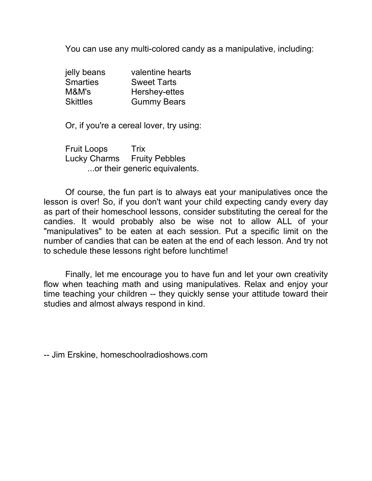You can use any multi-colored candy as a manipulative, including:

| jelly beans     | valentine hearts   |
|-----------------|--------------------|
| <b>Smarties</b> | <b>Sweet Tarts</b> |
| M&M's           | Hershey-ettes      |
| <b>Skittles</b> | <b>Gummy Bears</b> |

Or, if you're a cereal lover, try using:

Fruit Loops Trix Lucky Charms Fruity Pebbles ...or their generic equivalents.

Of course, the fun part is to always eat your manipulatives once the lesson is over! So, if you don't want your child expecting candy every day as part of their homeschool lessons, consider substituting the cereal for the candies. It would probably also be wise not to allow ALL of your "manipulatives" to be eaten at each session. Put a specific limit on the number of candies that can be eaten at the end of each lesson. And try not to schedule these lessons right before lunchtime!

Finally, let me encourage you to have fun and let your own creativity flow when teaching math and using manipulatives. Relax and enjoy your time teaching your children -- they quickly sense your attitude toward their studies and almost always respond in kind.

-- Jim Erskine, homeschoolradioshows.com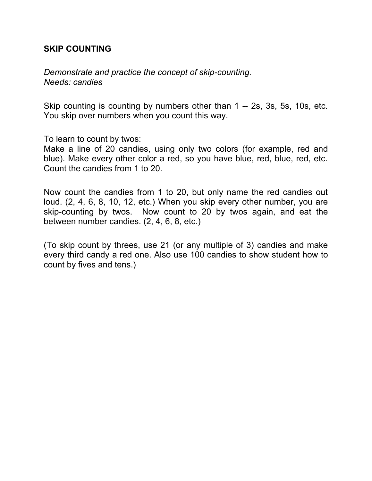#### **SKIP COUNTING**

*Demonstrate and practice the concept of skip-counting. Needs: candies*

Skip counting is counting by numbers other than 1 -- 2s, 3s, 5s, 10s, etc. You skip over numbers when you count this way.

To learn to count by twos:

Make a line of 20 candies, using only two colors (for example, red and blue). Make every other color a red, so you have blue, red, blue, red, etc. Count the candies from 1 to 20.

Now count the candies from 1 to 20, but only name the red candies out loud. (2, 4, 6, 8, 10, 12, etc.) When you skip every other number, you are skip-counting by twos. Now count to 20 by twos again, and eat the between number candies. (2, 4, 6, 8, etc.)

(To skip count by threes, use 21 (or any multiple of 3) candies and make every third candy a red one. Also use 100 candies to show student how to count by fives and tens.)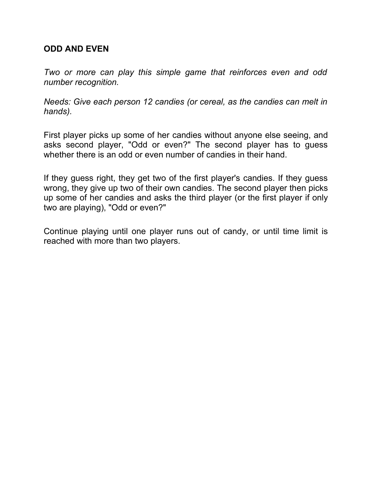#### **ODD AND EVEN**

*Two or more can play this simple game that reinforces even and odd number recognition.*

*Needs: Give each person 12 candies (or cereal, as the candies can melt in hands).*

First player picks up some of her candies without anyone else seeing, and asks second player, "Odd or even?" The second player has to guess whether there is an odd or even number of candies in their hand.

If they guess right, they get two of the first player's candies. If they guess wrong, they give up two of their own candies. The second player then picks up some of her candies and asks the third player (or the first player if only two are playing), "Odd or even?"

Continue playing until one player runs out of candy, or until time limit is reached with more than two players.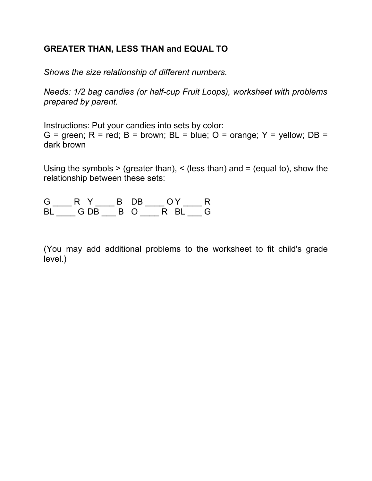## **GREATER THAN, LESS THAN and EQUAL TO**

*Shows the size relationship of different numbers.*

*Needs: 1/2 bag candies (or half-cup Fruit Loops), worksheet with problems prepared by parent.*

Instructions: Put your candies into sets by color: G = green;  $R = red$ ;  $B = brown$ ;  $BL = blue$ ;  $O = orange$ ;  $Y = yellow$ ;  $DB =$ dark brown

Using the symbols  $>$  (greater than),  $<$  (less than) and  $=$  (equal to), show the relationship between these sets:

| G. |  | B DB | $\bigcap Y$  |  |
|----|--|------|--------------|--|
|    |  |      | BIGDB BORBIG |  |

(You may add additional problems to the worksheet to fit child's grade level.)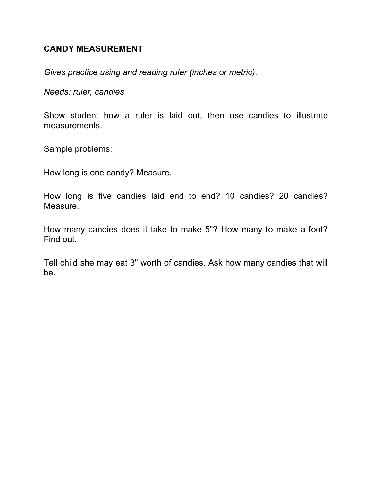#### **CANDY MEASUREMENT**

*Gives practice using and reading ruler (inches or metric).*

*Needs: ruler, candies*

Show student how a ruler is laid out, then use candies to illustrate measurements.

Sample problems:

How long is one candy? Measure.

How long is five candies laid end to end? 10 candies? 20 candies? Measure.

How many candies does it take to make 5"? How many to make a foot? Find out.

Tell child she may eat 3" worth of candies. Ask how many candies that will be.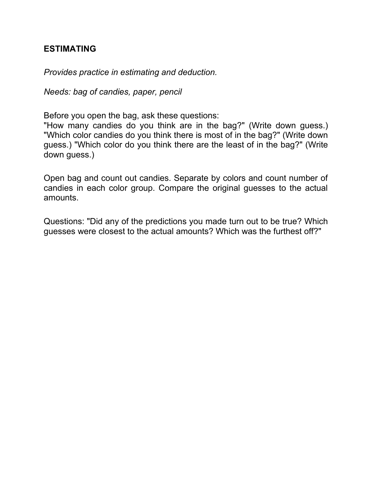#### **ESTIMATING**

*Provides practice in estimating and deduction.*

*Needs: bag of candies, paper, pencil*

Before you open the bag, ask these questions:

"How many candies do you think are in the bag?" (Write down guess.) "Which color candies do you think there is most of in the bag?" (Write down guess.) "Which color do you think there are the least of in the bag?" (Write down guess.)

Open bag and count out candies. Separate by colors and count number of candies in each color group. Compare the original guesses to the actual amounts.

Questions: "Did any of the predictions you made turn out to be true? Which guesses were closest to the actual amounts? Which was the furthest off?"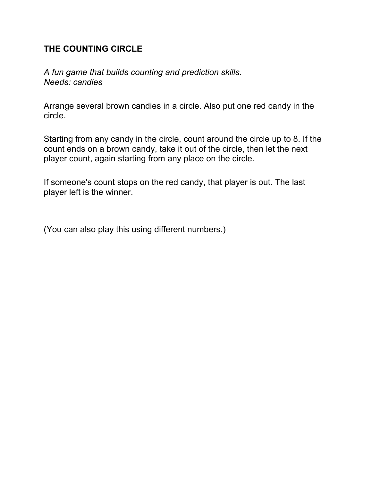## **THE COUNTING CIRCLE**

*A fun game that builds counting and prediction skills. Needs: candies*

Arrange several brown candies in a circle. Also put one red candy in the circle.

Starting from any candy in the circle, count around the circle up to 8. If the count ends on a brown candy, take it out of the circle, then let the next player count, again starting from any place on the circle.

If someone's count stops on the red candy, that player is out. The last player left is the winner.

(You can also play this using different numbers.)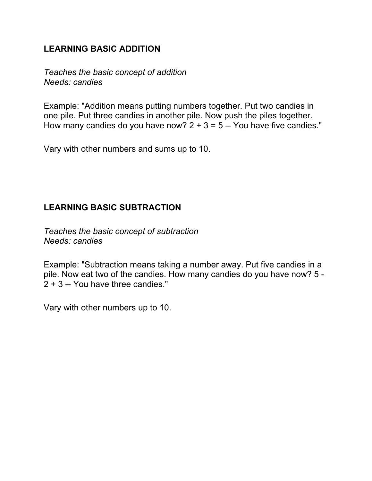## **LEARNING BASIC ADDITION**

*Teaches the basic concept of addition Needs: candies*

Example: "Addition means putting numbers together. Put two candies in one pile. Put three candies in another pile. Now push the piles together. How many candies do you have now?  $2 + 3 = 5 -$  You have five candies."

Vary with other numbers and sums up to 10.

## **LEARNING BASIC SUBTRACTION**

*Teaches the basic concept of subtraction Needs: candies*

Example: "Subtraction means taking a number away. Put five candies in a pile. Now eat two of the candies. How many candies do you have now? 5 - 2 + 3 -- You have three candies."

Vary with other numbers up to 10.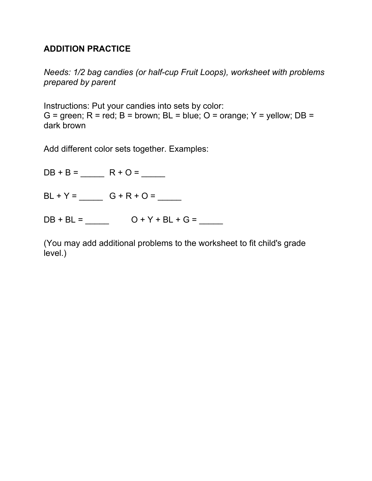### **ADDITION PRACTICE**

*Needs: 1/2 bag candies (or half-cup Fruit Loops), worksheet with problems prepared by parent*

Instructions: Put your candies into sets by color: G = green;  $R$  = red;  $B$  = brown;  $BL$  = blue;  $O$  = orange;  $Y$  = yellow;  $DB$  = dark brown

Add different color sets together. Examples:

DB + B = \_\_\_\_\_ R + O = \_\_\_\_\_  $BL + Y =$  G + R + O = \_\_\_\_\_  $DB + BL =$   $O + Y + BL + G =$ 

(You may add additional problems to the worksheet to fit child's grade level.)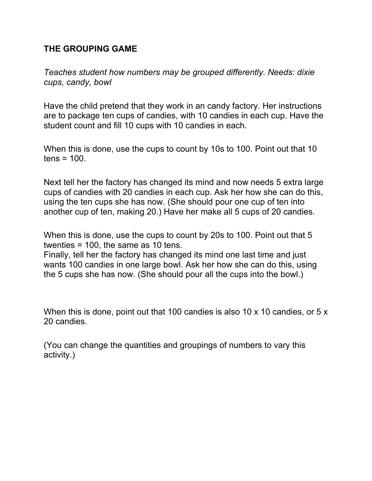## **THE GROUPING GAME**

*Teaches student how numbers may be grouped differently. Needs: dixie cups, candy, bowl*

Have the child pretend that they work in an candy factory. Her instructions are to package ten cups of candies, with 10 candies in each cup. Have the student count and fill 10 cups with 10 candies in each.

When this is done, use the cups to count by 10s to 100. Point out that 10  $tens = 100$ .

Next tell her the factory has changed its mind and now needs 5 extra large cups of candies with 20 candies in each cup. Ask her how she can do this, using the ten cups she has now. (She should pour one cup of ten into another cup of ten, making 20.) Have her make all 5 cups of 20 candies.

When this is done, use the cups to count by 20s to 100. Point out that 5 twenties = 100, the same as 10 tens.

Finally, tell her the factory has changed its mind one last time and just wants 100 candies in one large bowl. Ask her how she can do this, using the 5 cups she has now. (She should pour all the cups into the bowl.)

When this is done, point out that 100 candies is also 10 x 10 candies, or 5 x 20 candies.

(You can change the quantities and groupings of numbers to vary this activity.)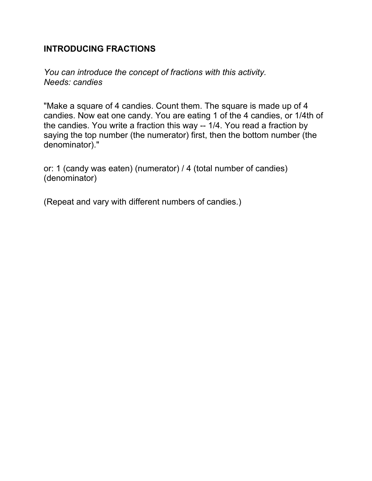### **INTRODUCING FRACTIONS**

*You can introduce the concept of fractions with this activity. Needs: candies*

"Make a square of 4 candies. Count them. The square is made up of 4 candies. Now eat one candy. You are eating 1 of the 4 candies, or 1/4th of the candies. You write a fraction this way -- 1/4. You read a fraction by saying the top number (the numerator) first, then the bottom number (the denominator)."

or: 1 (candy was eaten) (numerator) / 4 (total number of candies) (denominator)

(Repeat and vary with different numbers of candies.)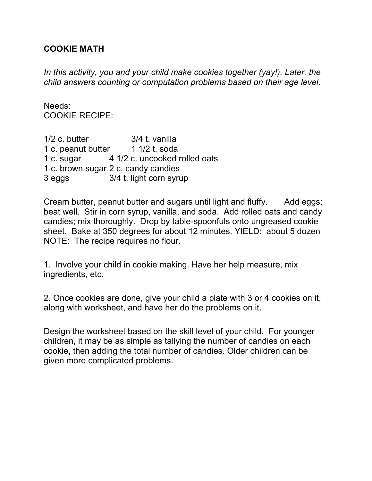### **COOKIE MATH**

*In this activity, you and your child make cookies together (yay!). Later, the child answers counting or computation problems based on their age level.*

Needs: COOKIE RECIPE:

1/2 c. butter 3/4 t. vanilla 1 c. peanut butter 1 1/2 t. soda 1 c. sugar 4 1/2 c. uncooked rolled oats 1 c. brown sugar 2 c. candy candies 3 eggs 3/4 t. light corn syrup

Cream butter, peanut butter and sugars until light and fluffy. Add eggs; beat well. Stir in corn syrup, vanilla, and soda. Add rolled oats and candy candies; mix thoroughly. Drop by table-spoonfuls onto ungreased cookie sheet. Bake at 350 degrees for about 12 minutes. YIELD: about 5 dozen NOTE: The recipe requires no flour.

1. Involve your child in cookie making. Have her help measure, mix ingredients, etc.

2. Once cookies are done, give your child a plate with 3 or 4 cookies on it, along with worksheet, and have her do the problems on it.

Design the worksheet based on the skill level of your child. For younger children, it may be as simple as tallying the number of candies on each cookie, then adding the total number of candies. Older children can be given more complicated problems.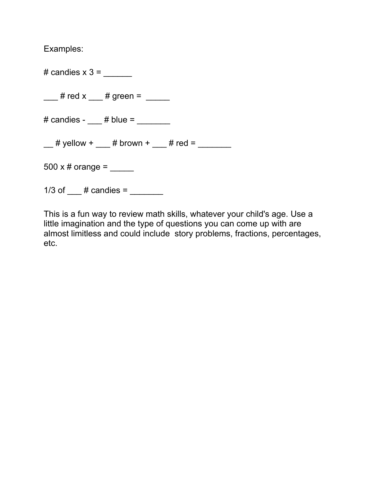Examples:

 $\#$  candies  $x$  3 =

 $\frac{1}{2}$  # red x  $\frac{1}{2}$  # green =  $\frac{1}{2}$ 

 $\#$  candies -  $\#$  blue =

 $\frac{1}{2}$  # yellow +  $\frac{1}{2}$  # brown +  $\frac{1}{2}$  # red =  $\frac{1}{2}$ 

500 x # orange =  $\frac{1}{2}$ 

1/3 of  $\#$  candies =

This is a fun way to review math skills, whatever your child's age. Use a little imagination and the type of questions you can come up with are almost limitless and could include story problems, fractions, percentages, etc.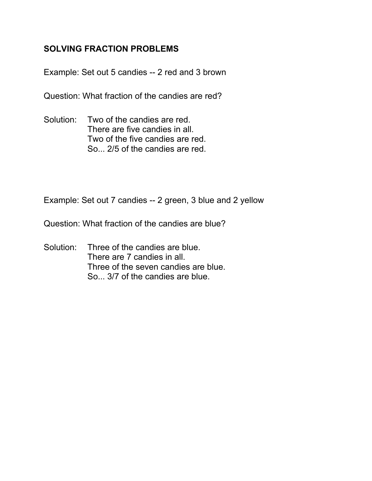## **SOLVING FRACTION PROBLEMS**

Example: Set out 5 candies -- 2 red and 3 brown

Question: What fraction of the candies are red?

Solution: Two of the candies are red. There are five candies in all. Two of the five candies are red. So... 2/5 of the candies are red.

Example: Set out 7 candies -- 2 green, 3 blue and 2 yellow

Question: What fraction of the candies are blue?

Solution: Three of the candies are blue. There are 7 candies in all. Three of the seven candies are blue. So... 3/7 of the candies are blue.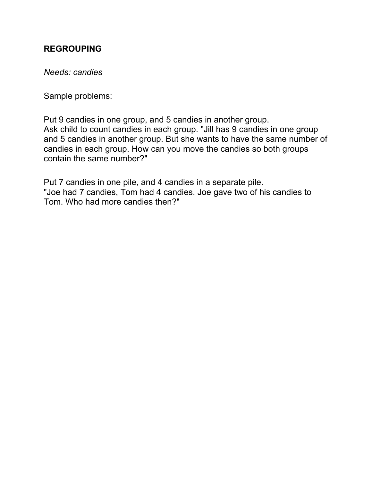## **REGROUPING**

*Needs: candies*

Sample problems:

Put 9 candies in one group, and 5 candies in another group. Ask child to count candies in each group. "Jill has 9 candies in one group and 5 candies in another group. But she wants to have the same number of candies in each group. How can you move the candies so both groups contain the same number?"

Put 7 candies in one pile, and 4 candies in a separate pile. "Joe had 7 candies, Tom had 4 candies. Joe gave two of his candies to Tom. Who had more candies then?"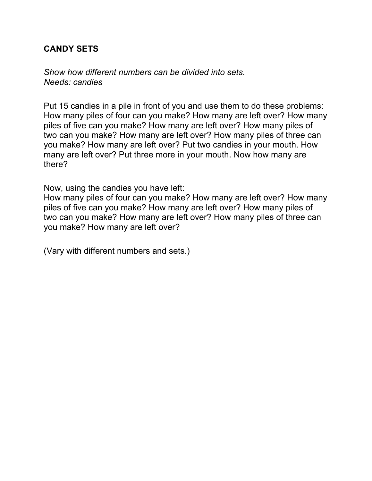### **CANDY SETS**

*Show how different numbers can be divided into sets. Needs: candies*

Put 15 candies in a pile in front of you and use them to do these problems: How many piles of four can you make? How many are left over? How many piles of five can you make? How many are left over? How many piles of two can you make? How many are left over? How many piles of three can you make? How many are left over? Put two candies in your mouth. How many are left over? Put three more in your mouth. Now how many are there?

Now, using the candies you have left:

How many piles of four can you make? How many are left over? How many piles of five can you make? How many are left over? How many piles of two can you make? How many are left over? How many piles of three can you make? How many are left over?

(Vary with different numbers and sets.)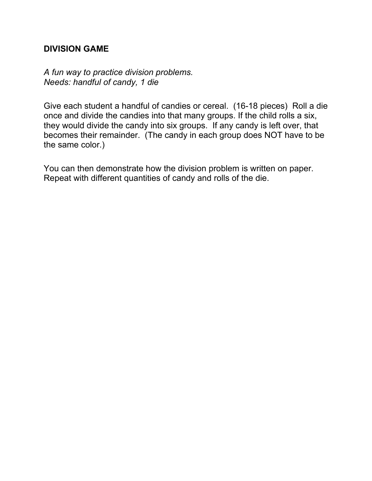### **DIVISION GAME**

*A fun way to practice division problems. Needs: handful of candy, 1 die*

Give each student a handful of candies or cereal. (16-18 pieces) Roll a die once and divide the candies into that many groups. If the child rolls a six, they would divide the candy into six groups. If any candy is left over, that becomes their remainder. (The candy in each group does NOT have to be the same color.)

You can then demonstrate how the division problem is written on paper. Repeat with different quantities of candy and rolls of the die.